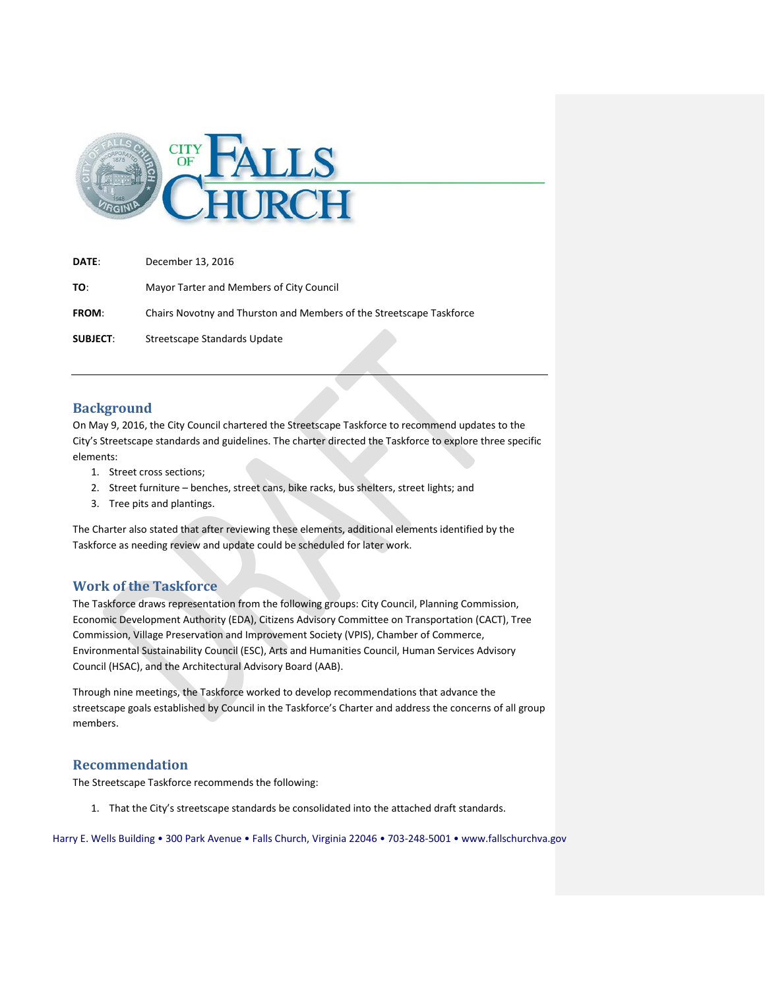

**DATE**: December 13, 2016

**TO**: Mayor Tarter and Members of City Council

**FROM**: Chairs Novotny and Thurston and Members of the Streetscape Taskforce

**SUBJECT**: Streetscape Standards Update

### **Background**

On May 9, 2016, the City Council chartered the Streetscape Taskforce to recommend updates to the City's Streetscape standards and guidelines. The charter directed the Taskforce to explore three specific elements:

- 1. Street cross sections;
- 2. Street furniture benches, street cans, bike racks, bus shelters, street lights; and
- 3. Tree pits and plantings.

The Charter also stated that after reviewing these elements, additional elements identified by the Taskforce as needing review and update could be scheduled for later work.

### **Work of the Taskforce**

The Taskforce draws representation from the following groups: City Council, Planning Commission, Economic Development Authority (EDA), Citizens Advisory Committee on Transportation (CACT), Tree Commission, Village Preservation and Improvement Society (VPIS), Chamber of Commerce, Environmental Sustainability Council (ESC), Arts and Humanities Council, Human Services Advisory Council (HSAC), and the Architectural Advisory Board (AAB).

Through nine meetings, the Taskforce worked to develop recommendations that advance the streetscape goals established by Council in the Taskforce's Charter and address the concerns of all group members.

### **Recommendation**

The Streetscape Taskforce recommends the following:

1. That the City's streetscape standards be consolidated into the attached draft standards.

Harry E. Wells Building • 300 Park Avenue • Falls Church, Virginia 22046 • 703-248-5001 • www.fallschurchva.gov